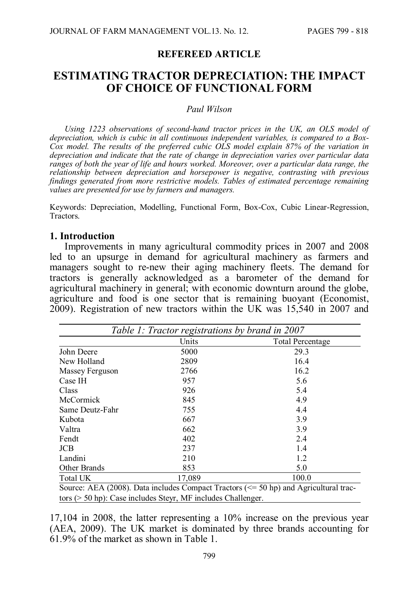#### **REFEREED ARTICLE**

# **ESTIMATING TRACTOR DEPRECIATION: THE IMPACT OF CHOICE OF FUNCTIONAL FORM**

#### *Paul Wilson*

*Using 1223 observations of second-hand tractor prices in the UK, an OLS model of depreciation, which is cubic in all continuous independent variables, is compared to a Box-Cox model. The results of the preferred cubic OLS model explain 87% of the variation in depreciation and indicate that the rate of change in depreciation varies over particular data ranges of both the year of life and hours worked. Moreover, over a particular data range, the relationship between depreciation and horsepower is negative, contrasting with previous findings generated from more restrictive models. Tables of estimated percentage remaining values are presented for use by farmers and managers.*

Keywords: Depreciation, Modelling, Functional Form, Box-Cox, Cubic Linear-Regression, Tractors.

#### **1. Introduction**

Improvements in many agricultural commodity prices in 2007 and 2008 led to an upsurge in demand for agricultural machinery as farmers and managers sought to re-new their aging machinery fleets. The demand for tractors is generally acknowledged as a barometer of the demand for agricultural machinery in general; with economic downturn around the globe, agriculture and food is one sector that is remaining buoyant (Economist, 2009). Registration of new tractors within the UK was 15,540 in 2007 and

|                  | Table 1: Tractor registrations by brand in 2007 |                                                                                          |
|------------------|-------------------------------------------------|------------------------------------------------------------------------------------------|
|                  | Units                                           | <b>Total Percentage</b>                                                                  |
| John Deere       | 5000                                            | 29.3                                                                                     |
| New Holland      | 2809                                            | 16.4                                                                                     |
| Massey Ferguson  | 2766                                            | 16.2                                                                                     |
| Case IH          | 957                                             | 5.6                                                                                      |
| Class            | 926                                             | 5.4                                                                                      |
| <b>McCormick</b> | 845                                             | 4.9                                                                                      |
| Same Deutz-Fahr  | 755                                             | 4.4                                                                                      |
| Kubota           | 667                                             | 3.9                                                                                      |
| Valtra           | 662                                             | 3.9                                                                                      |
| Fendt            | 402                                             | 2.4                                                                                      |
| <b>JCB</b>       | 237                                             | 1.4                                                                                      |
| Landini          | 210                                             | 1.2                                                                                      |
| Other Brands     | 853                                             | 5.0                                                                                      |
| Total UK         | 17,089                                          | 100.0                                                                                    |
|                  |                                                 | Source: AEA (2008). Data includes Compact Tractors ( $\le$ 50 hp) and Agricultural trac- |
|                  |                                                 |                                                                                          |

tors (> 50 hp): Case includes Steyr, MF includes Challenger.

17,104 in 2008, the latter representing a 10% increase on the previous year (AEA, 2009). The UK market is dominated by three brands accounting for 61.9% of the market as shown in Table 1.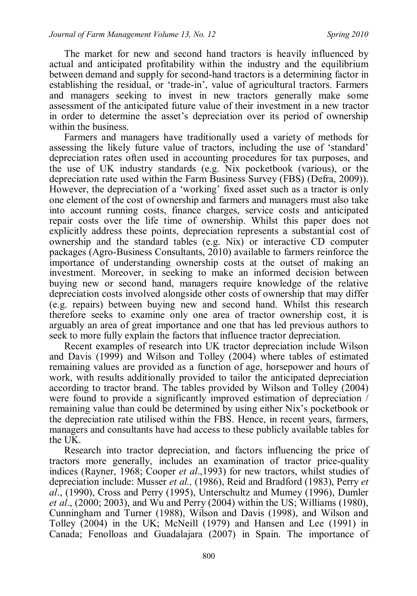The market for new and second hand tractors is heavily influenced by actual and anticipated profitability within the industry and the equilibrium between demand and supply for second-hand tractors is a determining factor in establishing the residual, or 'trade-in', value of agricultural tractors. Farmers and managers seeking to invest in new tractors generally make some assessment of the anticipated future value of their investment in a new tractor in order to determine the asset's depreciation over its period of ownership within the business.

Farmers and managers have traditionally used a variety of methods for assessing the likely future value of tractors, including the use of 'standard' depreciation rates often used in accounting procedures for tax purposes, and the use of UK industry standards (e.g. Nix pocketbook (various), or the depreciation rate used within the Farm Business Survey (FBS) (Defra, 2009)). However, the depreciation of a 'working' fixed asset such as a tractor is only one element of the cost of ownership and farmers and managers must also take into account running costs, finance charges, service costs and anticipated repair costs over the life time of ownership. Whilst this paper does not explicitly address these points, depreciation represents a substantial cost of ownership and the standard tables (e.g. Nix) or interactive CD computer packages (Agro-Business Consultants, 2010) available to farmers reinforce the importance of understanding ownership costs at the outset of making an investment. Moreover, in seeking to make an informed decision between buying new or second hand, managers require knowledge of the relative depreciation costs involved alongside other costs of ownership that may differ (e.g. repairs) between buying new and second hand. Whilst this research therefore seeks to examine only one area of tractor ownership cost, it is arguably an area of great importance and one that has led previous authors to seek to more fully explain the factors that influence tractor depreciation.

Recent examples of research into UK tractor depreciation include Wilson and Davis (1999) and Wilson and Tolley (2004) where tables of estimated remaining values are provided as a function of age, horsepower and hours of work, with results additionally provided to tailor the anticipated depreciation according to tractor brand. The tables provided by Wilson and Tolley (2004) were found to provide a significantly improved estimation of depreciation / remaining value than could be determined by using either Nix's pocketbook or the depreciation rate utilised within the FBS. Hence, in recent years, farmers, managers and consultants have had access to these publicly available tables for the UK.

Research into tractor depreciation, and factors influencing the price of tractors more generally, includes an examination of tractor price-quality indices (Rayner, 1968; Cooper *et al*.,1993) for new tractors, whilst studies of depreciation include: Musser *et al.,* (1986), Reid and Bradford (1983), Perry *et al*., (1990), Cross and Perry (1995), Unterschultz and Mumey (1996), Dumler *et al*., (2000; 2003), and Wu and Perry (2004) within the US; Williams (1980), Cunningham and Turner (1988), Wilson and Davis (1998), and Wilson and Tolley (2004) in the UK; McNeill (1979) and Hansen and Lee (1991) in Canada; Fenolloas and Guadalajara (2007) in Spain. The importance of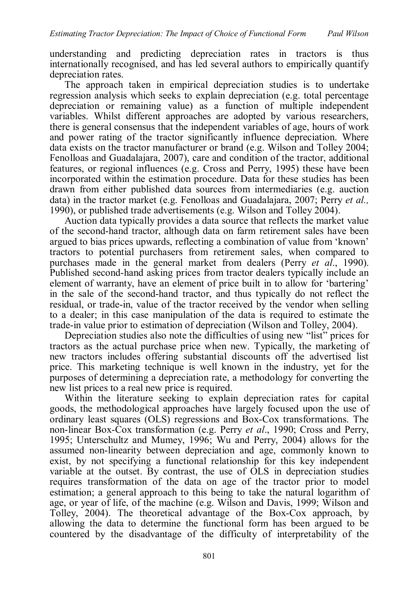understanding and predicting depreciation rates in tractors is thus internationally recognised, and has led several authors to empirically quantify depreciation rates.

The approach taken in empirical depreciation studies is to undertake regression analysis which seeks to explain depreciation (e.g. total percentage depreciation or remaining value) as a function of multiple independent variables. Whilst different approaches are adopted by various researchers, there is general consensus that the independent variables of age, hours of work and power rating of the tractor significantly influence depreciation. Where data exists on the tractor manufacturer or brand (e.g. Wilson and Tolley 2004; Fenolloas and Guadalajara, 2007), care and condition of the tractor, additional features, or regional influences (e.g. Cross and Perry, 1995) these have been incorporated within the estimation procedure. Data for these studies has been drawn from either published data sources from intermediaries (e.g. auction data) in the tractor market (e.g. Fenolloas and Guadalajara, 2007; Perry *et al.,* 1990), or published trade advertisements (e.g. Wilson and Tolley 2004).

Auction data typically provides a data source that reflects the market value of the second-hand tractor, although data on farm retirement sales have been argued to bias prices upwards, reflecting a combination of value from 'known' tractors to potential purchasers from retirement sales, when compared to purchases made in the general market from dealers (Perry *et al*., 1990). Published second-hand asking prices from tractor dealers typically include an element of warranty, have an element of price built in to allow for 'bartering' in the sale of the second-hand tractor, and thus typically do not reflect the residual, or trade-in, value of the tractor received by the vendor when selling to a dealer; in this case manipulation of the data is required to estimate the trade-in value prior to estimation of depreciation (Wilson and Tolley, 2004).

Depreciation studies also note the difficulties of using new "list" prices for tractors as the actual purchase price when new. Typically, the marketing of new tractors includes offering substantial discounts off the advertised list price. This marketing technique is well known in the industry, yet for the purposes of determining a depreciation rate, a methodology for converting the new list prices to a real new price is required.

Within the literature seeking to explain depreciation rates for capital goods, the methodological approaches have largely focused upon the use of ordinary least squares (OLS) regressions and Box-Cox transformations. The non-linear Box-Cox transformation (e.g. Perry *et al*., 1990; Cross and Perry, 1995; Unterschultz and Mumey, 1996; Wu and Perry, 2004) allows for the assumed non-linearity between depreciation and age, commonly known to exist, by not specifying a functional relationship for this key independent variable at the outset. By contrast, the use of OLS in depreciation studies requires transformation of the data on age of the tractor prior to model estimation; a general approach to this being to take the natural logarithm of age, or year of life, of the machine (e.g. Wilson and Davis, 1999; Wilson and Tolley, 2004). The theoretical advantage of the Box-Cox approach, by allowing the data to determine the functional form has been argued to be countered by the disadvantage of the difficulty of interpretability of the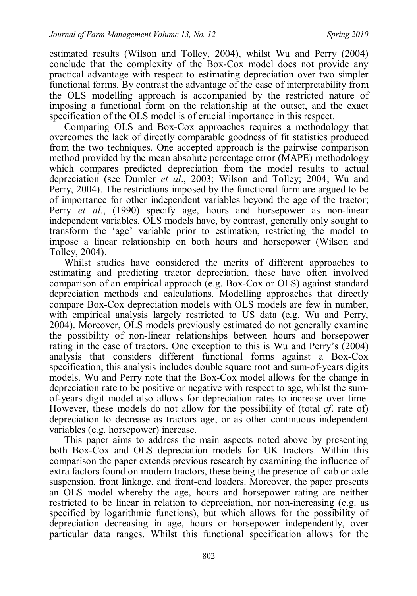estimated results (Wilson and Tolley, 2004), whilst Wu and Perry (2004) conclude that the complexity of the Box-Cox model does not provide any practical advantage with respect to estimating depreciation over two simpler functional forms. By contrast the advantage of the ease of interpretability from the OLS modelling approach is accompanied by the restricted nature of imposing a functional form on the relationship at the outset, and the exact specification of the OLS model is of crucial importance in this respect.

Comparing OLS and Box-Cox approaches requires a methodology that overcomes the lack of directly comparable goodness of fit statistics produced from the two techniques. One accepted approach is the pairwise comparison method provided by the mean absolute percentage error (MAPE) methodology which compares predicted depreciation from the model results to actual depreciation (see Dumler *et al*., 2003; Wilson and Tolley; 2004; Wu and Perry, 2004). The restrictions imposed by the functional form are argued to be of importance for other independent variables beyond the age of the tractor; Perry *et al*., (1990) specify age, hours and horsepower as non-linear independent variables. OLS models have, by contrast, generally only sought to transform the 'age' variable prior to estimation, restricting the model to impose a linear relationship on both hours and horsepower (Wilson and Tolley, 2004).

Whilst studies have considered the merits of different approaches to estimating and predicting tractor depreciation, these have often involved comparison of an empirical approach (e.g. Box-Cox or OLS) against standard depreciation methods and calculations. Modelling approaches that directly compare Box-Cox depreciation models with OLS models are few in number, with empirical analysis largely restricted to US data (e.g. Wu and Perry, 2004). Moreover, OLS models previously estimated do not generally examine the possibility of non-linear relationships between hours and horsepower rating in the case of tractors. One exception to this is Wu and Perry's (2004) analysis that considers different functional forms against a Box-Cox specification; this analysis includes double square root and sum-of-years digits models. Wu and Perry note that the Box-Cox model allows for the change in depreciation rate to be positive or negative with respect to age, whilst the sumof-years digit model also allows for depreciation rates to increase over time. However, these models do not allow for the possibility of (total *cf*. rate of) depreciation to decrease as tractors age, or as other continuous independent variables (e.g. horsepower) increase.

This paper aims to address the main aspects noted above by presenting both Box-Cox and OLS depreciation models for UK tractors. Within this comparison the paper extends previous research by examining the influence of extra factors found on modern tractors, these being the presence of: cab or axle suspension, front linkage, and front-end loaders. Moreover, the paper presents an OLS model whereby the age, hours and horsepower rating are neither restricted to be linear in relation to depreciation, nor non-increasing (e.g. as specified by logarithmic functions), but which allows for the possibility of depreciation decreasing in age, hours or horsepower independently, over particular data ranges. Whilst this functional specification allows for the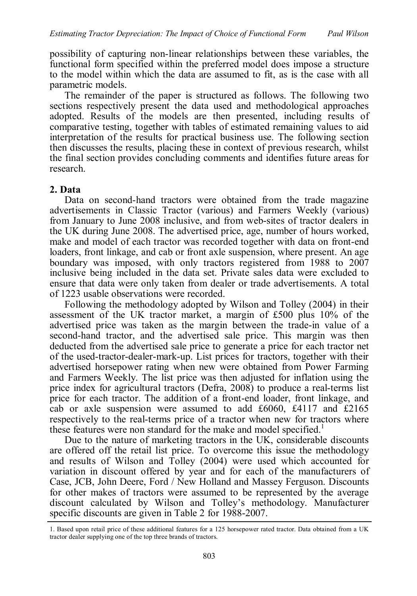possibility of capturing non-linear relationships between these variables, the functional form specified within the preferred model does impose a structure to the model within which the data are assumed to fit, as is the case with all parametric models.

The remainder of the paper is structured as follows. The following two sections respectively present the data used and methodological approaches adopted. Results of the models are then presented, including results of comparative testing, together with tables of estimated remaining values to aid interpretation of the results for practical business use. The following section then discusses the results, placing these in context of previous research, whilst the final section provides concluding comments and identifies future areas for research.

#### **2. Data**

Data on second-hand tractors were obtained from the trade magazine advertisements in Classic Tractor (various) and Farmers Weekly (various) from January to June 2008 inclusive, and from web-sites of tractor dealers in the UK during June 2008. The advertised price, age, number of hours worked, make and model of each tractor was recorded together with data on front-end loaders, front linkage, and cab or front axle suspension, where present. An age boundary was imposed, with only tractors registered from 1988 to 2007 inclusive being included in the data set. Private sales data were excluded to ensure that data were only taken from dealer or trade advertisements. A total of 1223 usable observations were recorded.

Following the methodology adopted by Wilson and Tolley (2004) in their assessment of the UK tractor market, a margin of £500 plus 10% of the advertised price was taken as the margin between the trade-in value of a second-hand tractor, and the advertised sale price. This margin was then deducted from the advertised sale price to generate a price for each tractor net of the used-tractor-dealer-mark-up. List prices for tractors, together with their advertised horsepower rating when new were obtained from Power Farming and Farmers Weekly. The list price was then adjusted for inflation using the price index for agricultural tractors (Defra, 2008) to produce a real-terms list price for each tractor. The addition of a front-end loader, front linkage, and cab or axle suspension were assumed to add £6060, £4117 and £2165 respectively to the real-terms price of a tractor when new for tractors where these features were non standard for the make and model specified.<sup>1</sup>

Due to the nature of marketing tractors in the UK, considerable discounts are offered off the retail list price. To overcome this issue the methodology and results of Wilson and Tolley (2004) were used which accounted for variation in discount offered by year and for each of the manufacturers of Case, JCB, John Deere, Ford / New Holland and Massey Ferguson. Discounts for other makes of tractors were assumed to be represented by the average discount calculated by Wilson and Tolley's methodology. Manufacturer specific discounts are given in Table 2 for 1988-2007.

<sup>1.</sup> Based upon retail price of these additional features for a 125 horsepower rated tractor. Data obtained from a UK tractor dealer supplying one of the top three brands of tractors.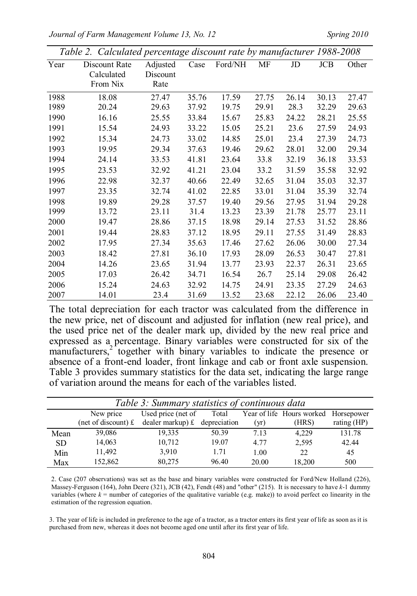*Journal of Farm Management Volume 13, No. 12* Spring 2010

|  |  |  |  |  | Table 2. Calculated percentage discount rate by manufacturer 1988-2008 |  |
|--|--|--|--|--|------------------------------------------------------------------------|--|
|--|--|--|--|--|------------------------------------------------------------------------|--|

| Year | Discount Rate | Adjusted | Case  | Ford/NH | МF    | JD    | <b>JCB</b> | Other |
|------|---------------|----------|-------|---------|-------|-------|------------|-------|
|      | Calculated    | Discount |       |         |       |       |            |       |
|      | From Nix      | Rate     |       |         |       |       |            |       |
| 1988 | 18.08         | 27.47    | 35.76 | 17.59   | 27.75 | 26.14 | 30.13      | 27.47 |
| 1989 | 20.24         | 29.63    | 37.92 | 19.75   | 29.91 | 28.3  | 32.29      | 29.63 |
| 1990 | 16.16         | 25.55    | 33.84 | 15.67   | 25.83 | 24.22 | 28.21      | 25.55 |
| 1991 | 15.54         | 24.93    | 33.22 | 15.05   | 25.21 | 23.6  | 27.59      | 24.93 |
| 1992 | 15.34         | 24.73    | 33.02 | 14.85   | 25.01 | 23.4  | 27.39      | 24.73 |
| 1993 | 19.95         | 29.34    | 37.63 | 19.46   | 29.62 | 28.01 | 32.00      | 29.34 |
| 1994 | 24.14         | 33.53    | 41.81 | 23.64   | 33.8  | 32.19 | 36.18      | 33.53 |
| 1995 | 23.53         | 32.92    | 41.21 | 23.04   | 33.2  | 31.59 | 35.58      | 32.92 |
| 1996 | 22.98         | 32.37    | 40.66 | 22.49   | 32.65 | 31.04 | 35.03      | 32.37 |
| 1997 | 23.35         | 32.74    | 41.02 | 22.85   | 33.01 | 31.04 | 35.39      | 32.74 |
| 1998 | 19.89         | 29.28    | 37.57 | 19.40   | 29.56 | 27.95 | 31.94      | 29.28 |
| 1999 | 13.72         | 23.11    | 31.4  | 13.23   | 23.39 | 21.78 | 25.77      | 23.11 |
| 2000 | 19.47         | 28.86    | 37.15 | 18.98   | 29.14 | 27.53 | 31.52      | 28.86 |
| 2001 | 19.44         | 28.83    | 37.12 | 18.95   | 29.11 | 27.55 | 31.49      | 28.83 |
| 2002 | 17.95         | 27.34    | 35.63 | 17.46   | 27.62 | 26.06 | 30.00      | 27.34 |
| 2003 | 18.42         | 27.81    | 36.10 | 17.93   | 28.09 | 26.53 | 30.47      | 27.81 |
| 2004 | 14.26         | 23.65    | 31.94 | 13.77   | 23.93 | 22.37 | 26.31      | 23.65 |
| 2005 | 17.03         | 26.42    | 34.71 | 16.54   | 26.7  | 25.14 | 29.08      | 26.42 |
| 2006 | 15.24         | 24.63    | 32.92 | 14.75   | 24.91 | 23.35 | 27.29      | 24.63 |
| 2007 | 14.01         | 23.4     | 31.69 | 13.52   | 23.68 | 22.12 | 26.06      | 23.40 |

The total depreciation for each tractor was calculated from the difference in the new price, net of discount and adjusted for inflation (new real price), and the used price net of the dealer mark up, divided by the new real price and expressed as a percentage. Binary variables were constructed for six of the manufacturers,<sup>2</sup> together with binary variables to indicate the presence or absence of a front-end loader, front linkage and cab or front axle suspension. Table 3 provides summary statistics for the data set, indicating the large range of variation around the means for each of the variables listed.

|           |           | Table 3: Summary statistics of continuous data                          |       |       |                                      |               |
|-----------|-----------|-------------------------------------------------------------------------|-------|-------|--------------------------------------|---------------|
|           | New price | Used price (net of                                                      | Total |       | Year of life Hours worked Horsepower |               |
|           |           | (net of discount) $\mathbf{f}$ dealer markup) $\mathbf{f}$ depreciation |       | (vr)  | (HRS)                                | rating $(HP)$ |
| Mean      | 39,086    | 19,335                                                                  | 50.39 | 7.13  | 4.229                                | 131.78        |
| <b>SD</b> | 14,063    | 10,712                                                                  | 19.07 | 4.77  | 2,595                                | 42.44         |
| Min       | 11,492    | 3,910                                                                   | 1.71  | 1.00  | 22                                   | 45            |
| Max       | 152,862   | 80,275                                                                  | 96.40 | 20.00 | 18.200                               | 500           |

2. Case (207 observations) was set as the base and binary variables were constructed for Ford/New Holland (226), Massey-Ferguson (164), John Deere (321), JCB (42), Fendt (48) and "other" (215). It is necessary to have *k*-1 dummy variables (where  $k =$  number of categories of the qualitative variable (e.g. make)) to avoid perfect co linearity in the estimation of the regression equation.

3. The year of life is included in preference to the age of a tractor, as a tractor enters its first year of life as soon as it is purchased from new, whereas it does not become aged one until after its first year of life.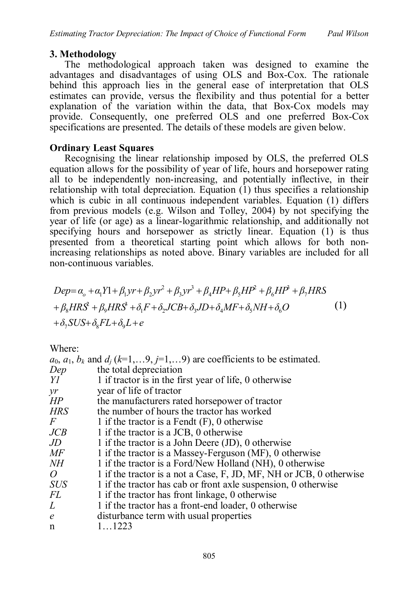## **3. Methodology**

The methodological approach taken was designed to examine the advantages and disadvantages of using OLS and Box-Cox. The rationale behind this approach lies in the general ease of interpretation that OLS estimates can provide, versus the flexibility and thus potential for a better explanation of the variation within the data, that Box-Cox models may provide. Consequently, one preferred OLS and one preferred Box-Cox specifications are presented. The details of these models are given below.

## **Ordinary Least Squares**

Recognising the linear relationship imposed by OLS, the preferred OLS equation allows for the possibility of year of life, hours and horsepower rating all to be independently non-increasing, and potentially inflective, in their relationship with total depreciation. Equation (1) thus specifies a relationship which is cubic in all continuous independent variables. Equation (1) differs from previous models (e.g. Wilson and Tolley, 2004) by not specifying the year of life (or age) as a linear-logarithmic relationship, and additionally not specifying hours and horsepower as strictly linear. Equation (1) is thus presented from a theoretical starting point which allows for both nonincreasing relationships as noted above. Binary variables are included for all non-continuous variables.

$$
Dep = \alpha_o + \alpha_1 Y l + \beta_1 yr + \beta_2 yr^2 + \beta_3 yr^3 + \beta_4 HP + \beta_5 HP^2 + \beta_6 HP^3 + \beta_7 HRS
$$
  
+  $\beta_8 HRS^2 + \beta_9 HRS^3 + \delta_1 F + \delta_2 JCB + \delta_3 JD + \delta_4 MF + \delta_5 NH + \delta_6 O$  (1)  
+  $\delta_7 SUS + \delta_8 FL + \delta_9 L + e$ 

Where:

| the total depreciation<br>1 if tractor is in the first year of life, 0 otherwise<br>year of life of tractor<br>the manufacturers rated horsepower of tractor<br>the number of hours the tractor has worked<br>1 if the tractor is a Fendt $(F)$ , 0 otherwise<br>1 if the tractor is a JCB, 0 otherwise<br>1 if the tractor is a John Deere $(JD)$ , 0 otherwise<br>1 if the tractor is a Massey-Ferguson (MF), 0 otherwise<br>1 if the tractor is a Ford/New Holland (NH), 0 otherwise<br>1 if the tractor is a not a Case, F, JD, MF, NH or JCB, 0 otherwise<br>1 if the tractor has cab or front axle suspension, 0 otherwise<br>1 if the tractor has front linkage, 0 otherwise<br>1 if the tractor has a front-end loader, 0 otherwise<br>disturbance term with usual properties<br>$\epsilon$<br>11223 |                 | $a_0$ , $a_1$ , $b_k$ and $d_i$ ( $k=1,9$ , $j=1,9$ ) are coefficients to be estimated. |
|--------------------------------------------------------------------------------------------------------------------------------------------------------------------------------------------------------------------------------------------------------------------------------------------------------------------------------------------------------------------------------------------------------------------------------------------------------------------------------------------------------------------------------------------------------------------------------------------------------------------------------------------------------------------------------------------------------------------------------------------------------------------------------------------------------------|-----------------|-----------------------------------------------------------------------------------------|
|                                                                                                                                                                                                                                                                                                                                                                                                                                                                                                                                                                                                                                                                                                                                                                                                              | Dep             |                                                                                         |
|                                                                                                                                                                                                                                                                                                                                                                                                                                                                                                                                                                                                                                                                                                                                                                                                              | YI              |                                                                                         |
|                                                                                                                                                                                                                                                                                                                                                                                                                                                                                                                                                                                                                                                                                                                                                                                                              | $\mathcal{V}^r$ |                                                                                         |
|                                                                                                                                                                                                                                                                                                                                                                                                                                                                                                                                                                                                                                                                                                                                                                                                              | HP              |                                                                                         |
|                                                                                                                                                                                                                                                                                                                                                                                                                                                                                                                                                                                                                                                                                                                                                                                                              | <b>HRS</b>      |                                                                                         |
|                                                                                                                                                                                                                                                                                                                                                                                                                                                                                                                                                                                                                                                                                                                                                                                                              | $\,F$           |                                                                                         |
|                                                                                                                                                                                                                                                                                                                                                                                                                                                                                                                                                                                                                                                                                                                                                                                                              | JCB             |                                                                                         |
|                                                                                                                                                                                                                                                                                                                                                                                                                                                                                                                                                                                                                                                                                                                                                                                                              | $J\!D$          |                                                                                         |
|                                                                                                                                                                                                                                                                                                                                                                                                                                                                                                                                                                                                                                                                                                                                                                                                              | МF              |                                                                                         |
|                                                                                                                                                                                                                                                                                                                                                                                                                                                                                                                                                                                                                                                                                                                                                                                                              | NH              |                                                                                         |
|                                                                                                                                                                                                                                                                                                                                                                                                                                                                                                                                                                                                                                                                                                                                                                                                              | $\overline{O}$  |                                                                                         |
|                                                                                                                                                                                                                                                                                                                                                                                                                                                                                                                                                                                                                                                                                                                                                                                                              | <b>SUS</b>      |                                                                                         |
|                                                                                                                                                                                                                                                                                                                                                                                                                                                                                                                                                                                                                                                                                                                                                                                                              | <i>FL</i>       |                                                                                         |
|                                                                                                                                                                                                                                                                                                                                                                                                                                                                                                                                                                                                                                                                                                                                                                                                              | L               |                                                                                         |
|                                                                                                                                                                                                                                                                                                                                                                                                                                                                                                                                                                                                                                                                                                                                                                                                              |                 |                                                                                         |
|                                                                                                                                                                                                                                                                                                                                                                                                                                                                                                                                                                                                                                                                                                                                                                                                              | $\mathbf n$     |                                                                                         |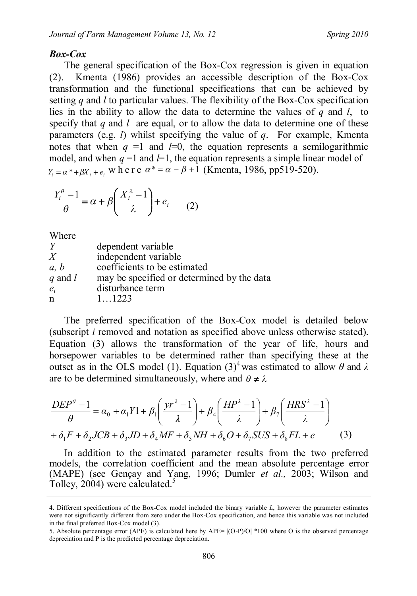### *Box-Cox*

The general specification of the Box-Cox regression is given in equation (2). Kmenta (1986) provides an accessible description of the Box-Cox transformation and the functional specifications that can be achieved by setting *q* and *l* to particular values. The flexibility of the Box-Cox specification lies in the ability to allow the data to determine the values of *q* and *l*, to specify that  $q$  and  $l$  are equal, or to allow the data to determine one of these parameters (e.g. *l*) whilst specifying the value of *q*. For example, Kmenta notes that when  $q = 1$  and  $l=0$ , the equation represents a semilogarithmic model, and when  $q = 1$  and  $l = 1$ , the equation represents a simple linear model of  $Y_i = \alpha^* + \beta X_i + e_i$  w h e r e  $\alpha^* = \alpha - \beta + 1$  (Kmenta, 1986, pp519-520).

$$
\frac{Y_i^{\theta} - 1}{\theta} = \alpha + \beta \left( \frac{X_i^{\lambda} - 1}{\lambda} \right) + e_i \qquad (2)
$$

Where

| Y            | dependent variable                         |
|--------------|--------------------------------------------|
| X            | independent variable                       |
| a, b         | coefficients to be estimated               |
| $q$ and $l$  | may be specified or determined by the data |
| $e_i$        | disturbance term                           |
| $\mathsf{n}$ | 1 1223                                     |

The preferred specification of the Box-Cox model is detailed below (subscript *i* removed and notation as specified above unless otherwise stated). Equation (3) allows the transformation of the year of life, hours and horsepower variables to be determined rather than specifying these at the outset as in the OLS model (1). Equation  $(3)^4$  was estimated to allow  $\theta$  and  $\lambda$ are to be determined simultaneously, where and  $\theta \neq \lambda$ 

$$
\frac{DEP^{\theta} - 1}{\theta} = \alpha_0 + \alpha_1 Y 1 + \beta_1 \left( \frac{yr^{\lambda} - 1}{\lambda} \right) + \beta_4 \left( \frac{HP^{\lambda} - 1}{\lambda} \right) + \beta_7 \left( \frac{HRS^{\lambda} - 1}{\lambda} \right)
$$

$$
+ \delta_1 F + \delta_2 JCB + \delta_3 JD + \delta_4 MF + \delta_5 NH + \delta_6 O + \delta_7 SUS + \delta_8 FL + e \tag{3}
$$

In addition to the estimated parameter results from the two preferred models, the correlation coefficient and the mean absolute percentage error (MAPE) (see Gençay and Yang, 1996; Dumler *et al.,* 2003; Wilson and Tolley, 2004) were calculated.<sup>5</sup>

<sup>4.</sup> Different specifications of the Box-Cox model included the binary variable *L*, however the parameter estimates were not significantly different from zero under the Box-Cox specification, and hence this variable was not included in the final preferred Box-Cox model (3).

<sup>5.</sup> Absolute percentage error (APE) is calculated here by APE= |(O-P)/O| \*100 where O is the observed percentage depreciation and P is the predicted percentage depreciation.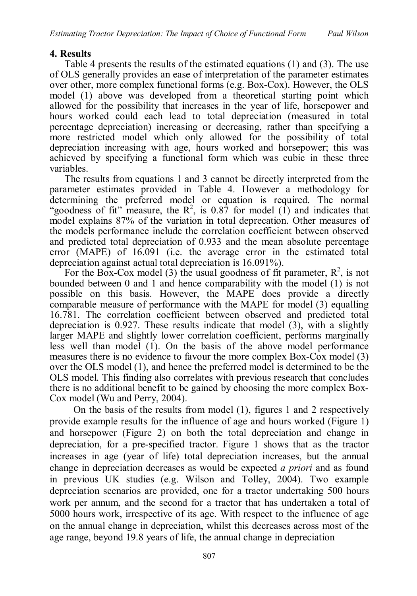#### **4. Results**

Table 4 presents the results of the estimated equations (1) and (3). The use of OLS generally provides an ease of interpretation of the parameter estimates over other, more complex functional forms (e.g. Box-Cox). However, the OLS model (1) above was developed from a theoretical starting point which allowed for the possibility that increases in the year of life, horsepower and hours worked could each lead to total depreciation (measured in total percentage depreciation) increasing or decreasing, rather than specifying a more restricted model which only allowed for the possibility of total depreciation increasing with age, hours worked and horsepower; this was achieved by specifying a functional form which was cubic in these three variables.

The results from equations 1 and 3 cannot be directly interpreted from the parameter estimates provided in Table 4. However a methodology for determining the preferred model or equation is required. The normal "goodness of fit" measure, the  $R^2$ , is 0.87 for model (1) and indicates that model explains 87% of the variation in total deprecation. Other measures of the models performance include the correlation coefficient between observed and predicted total depreciation of 0.933 and the mean absolute percentage error (MAPE) of 16.091 (i.e. the average error in the estimated total depreciation against actual total depreciation is 16.091%).

For the Box-Cox model (3) the usual goodness of fit parameter,  $R^2$ , is not bounded between 0 and 1 and hence comparability with the model (1) is not possible on this basis. However, the MAPE does provide a directly comparable measure of performance with the MAPE for model (3) equalling 16.781. The correlation coefficient between observed and predicted total depreciation is 0.927. These results indicate that model (3), with a slightly larger MAPE and slightly lower correlation coefficient, performs marginally less well than model (1). On the basis of the above model performance measures there is no evidence to favour the more complex Box-Cox model (3) over the OLS model (1), and hence the preferred model is determined to be the OLS model. This finding also correlates with previous research that concludes there is no additional benefit to be gained by choosing the more complex Box-Cox model (Wu and Perry, 2004).

On the basis of the results from model (1), figures 1 and 2 respectively provide example results for the influence of age and hours worked (Figure 1) and horsepower (Figure 2) on both the total depreciation and change in depreciation, for a pre-specified tractor. Figure 1 shows that as the tractor increases in age (year of life) total depreciation increases, but the annual change in depreciation decreases as would be expected *a priori* and as found in previous UK studies (e.g. Wilson and Tolley, 2004). Two example depreciation scenarios are provided, one for a tractor undertaking 500 hours work per annum, and the second for a tractor that has undertaken a total of 5000 hours work, irrespective of its age. With respect to the influence of age on the annual change in depreciation, whilst this decreases across most of the age range, beyond 19.8 years of life, the annual change in depreciation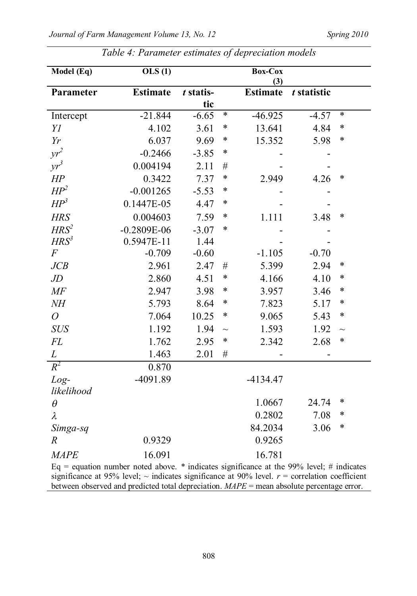| Model (Eq)       | $\overline{OLS}$ (1)                                                                     |           |        | <b>Box-Cox</b><br>(3) |             |        |
|------------------|------------------------------------------------------------------------------------------|-----------|--------|-----------------------|-------------|--------|
| Parameter        | <b>Estimate</b>                                                                          | t statis- |        | <b>Estimate</b>       | t statistic |        |
|                  |                                                                                          | tic       |        |                       |             |        |
| Intercept        | $-21.844$                                                                                | $-6.65$   | $\ast$ | $-46.925$             | $-4.57$     | $\ast$ |
| YI               | 4.102                                                                                    | 3.61      | $\ast$ | 13.641                | 4.84        | $\ast$ |
| Yr               | 6.037                                                                                    | 9.69      | $\ast$ | 15.352                | 5.98        | $\ast$ |
| $yr^2$           | $-0.2466$                                                                                | $-3.85$   | $\ast$ |                       |             |        |
| $yr^3$           | 0.004194                                                                                 | 2.11      | #      |                       |             |        |
| HP               | 0.3422                                                                                   | 7.37      | $\ast$ | 2.949                 | 4.26        | $\ast$ |
| $HP^2$           | $-0.001265$                                                                              | $-5.53$   | $\ast$ |                       |             |        |
| $HP^3$           | 0.1447E-05                                                                               | 4.47      | *      |                       |             |        |
| <b>HRS</b>       | 0.004603                                                                                 | 7.59      | $\ast$ | 1.111                 | 3.48        | $\ast$ |
| $HRS^2$          | $-0.2809E-06$                                                                            | $-3.07$   | $\ast$ |                       |             |        |
| HRS <sup>3</sup> | 0.5947E-11                                                                               | 1.44      |        |                       |             |        |
| $\overline{F}$   | $-0.709$                                                                                 | $-0.60$   |        | $-1.105$              | $-0.70$     |        |
| JCB              | 2.961                                                                                    | 2.47      | $\#$   | 5.399                 | 2.94        | $\ast$ |
| $J\!D$           | 2.860                                                                                    | 4.51      | $\ast$ | 4.166                 | 4.10        | $\ast$ |
| $M\!F$           | 2.947                                                                                    | 3.98      | $\ast$ | 3.957                 | 3.46        | ∗      |
| $N\!H$           | 5.793                                                                                    | 8.64      | $\ast$ | 7.823                 | 5.17        | ∗      |
| $\overline{O}$   | 7.064                                                                                    | 10.25     | $\ast$ | 9.065                 | 5.43        | $\ast$ |
| <b>SUS</b>       | 1.192                                                                                    | 1.94      | $\sim$ | 1.593                 | 1.92        | $\sim$ |
| FL               | 1.762                                                                                    | 2.95      | $\ast$ | 2.342                 | 2.68        | $\ast$ |
| L                | 1.463                                                                                    | 2.01      | #      |                       |             |        |
| $R^2$            | 0.870                                                                                    |           |        |                       |             |        |
| $Log-$           | $-4091.89$                                                                               |           |        | $-4134.47$            |             |        |
| likelihood       |                                                                                          |           |        |                       |             |        |
| $\theta$         |                                                                                          |           |        | 1.0667                | 24.74       | ∗      |
| λ                |                                                                                          |           |        | 0.2802                | 7.08        | $\ast$ |
| Simga-sq         |                                                                                          |           |        | 84.2034               | 3.06        | $\ast$ |
| $\boldsymbol{R}$ | 0.9329                                                                                   |           |        | 0.9265                |             |        |
| <b>MAPE</b>      | 16.091                                                                                   |           |        | 16.781                |             |        |
|                  | Eq = equation number noted above. * indicates significance at the 99% level; # indicates |           |        |                       |             |        |

*Table 4: Parameter estimates of depreciation models*

significance at 95% level;  $\sim$  indicates significance at 90% level.  $r =$  correlation coefficient between observed and predicted total depreciation. *MAPE* = mean absolute percentage error.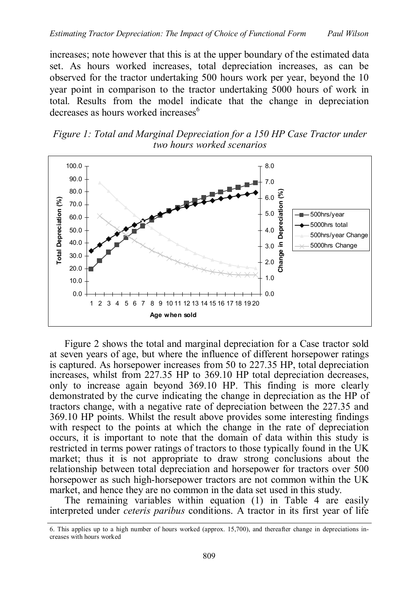increases; note however that this is at the upper boundary of the estimated data set. As hours worked increases, total depreciation increases, as can be observed for the tractor undertaking 500 hours work per year, beyond the 10 year point in comparison to the tractor undertaking 5000 hours of work in total. Results from the model indicate that the change in depreciation decreases as hours worked increases<sup>6</sup>





Figure 2 shows the total and marginal depreciation for a Case tractor sold at seven years of age, but where the influence of different horsepower ratings is captured. As horsepower increases from 50 to 227.35 HP, total depreciation increases, whilst from 227.35 HP to 369.10 HP total depreciation decreases, only to increase again beyond 369.10 HP. This finding is more clearly demonstrated by the curve indicating the change in depreciation as the HP of tractors change, with a negative rate of depreciation between the 227.35 and 369.10 HP points. Whilst the result above provides some interesting findings with respect to the points at which the change in the rate of depreciation occurs, it is important to note that the domain of data within this study is restricted in terms power ratings of tractors to those typically found in the UK market; thus it is not appropriate to draw strong conclusions about the relationship between total depreciation and horsepower for tractors over 500 horsepower as such high-horsepower tractors are not common within the UK market, and hence they are no common in the data set used in this study.

The remaining variables within equation (1) in Table 4 are easily interpreted under *ceteris paribus* conditions. A tractor in its first year of life

<sup>6.</sup> This applies up to a high number of hours worked (approx. 15,700), and thereafter change in depreciations increases with hours worked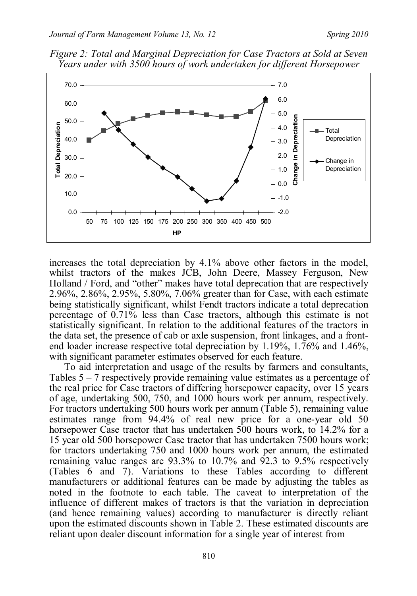



increases the total depreciation by 4.1% above other factors in the model, whilst tractors of the makes JCB, John Deere, Massey Ferguson, New Holland / Ford, and "other" makes have total deprecation that are respectively 2.96%, 2.86%, 2.95%, 5.80%, 7.06% greater than for Case, with each estimate being statistically significant, whilst Fendt tractors indicate a total deprecation percentage of 0.71% less than Case tractors, although this estimate is not statistically significant. In relation to the additional features of the tractors in the data set, the presence of cab or axle suspension, front linkages, and a frontend loader increase respective total depreciation by 1.19%, 1.76% and 1.46%, with significant parameter estimates observed for each feature.

To aid interpretation and usage of the results by farmers and consultants, Tables 5 – 7 respectively provide remaining value estimates as a percentage of the real price for Case tractors of differing horsepower capacity, over 15 years of age, undertaking 500, 750, and 1000 hours work per annum, respectively. For tractors undertaking 500 hours work per annum (Table 5), remaining value estimates range from 94.4% of real new price for a one-year old 50 horsepower Case tractor that has undertaken 500 hours work, to 14.2% for a 15 year old 500 horsepower Case tractor that has undertaken 7500 hours work; for tractors undertaking 750 and 1000 hours work per annum, the estimated remaining value ranges are 93.3% to 10.7% and 92.3 to 9.5% respectively (Tables 6 and 7). Variations to these Tables according to different manufacturers or additional features can be made by adjusting the tables as noted in the footnote to each table. The caveat to interpretation of the influence of different makes of tractors is that the variation in depreciation (and hence remaining values) according to manufacturer is directly reliant upon the estimated discounts shown in Table 2. These estimated discounts are reliant upon dealer discount information for a single year of interest from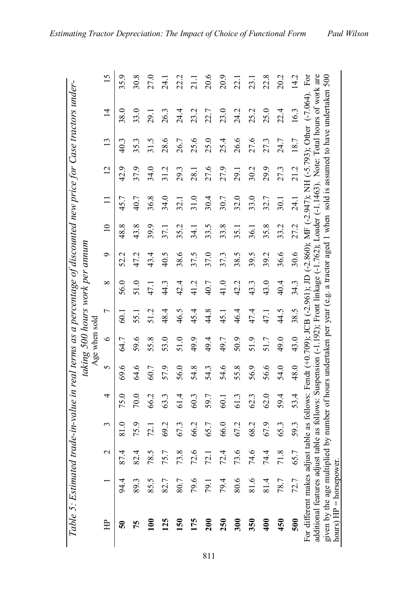| $\ddotsc$                                                                                                               |
|-------------------------------------------------------------------------------------------------------------------------|
|                                                                                                                         |
|                                                                                                                         |
| こうそくそう こうきょう                                                                                                            |
| sana eac<br>I                                                                                                           |
|                                                                                                                         |
| v. I wut UV Little if<br>֚֡                                                                                             |
|                                                                                                                         |
|                                                                                                                         |
| ישו איש<br>l                                                                                                            |
|                                                                                                                         |
|                                                                                                                         |
| こう 2 きろうつきこうき ニュ                                                                                                        |
|                                                                                                                         |
|                                                                                                                         |
|                                                                                                                         |
|                                                                                                                         |
|                                                                                                                         |
| in                                                                                                                      |
|                                                                                                                         |
|                                                                                                                         |
|                                                                                                                         |
|                                                                                                                         |
| こころ ろう ろう フェ                                                                                                            |
|                                                                                                                         |
|                                                                                                                         |
|                                                                                                                         |
|                                                                                                                         |
|                                                                                                                         |
| $\sim$ to the conduct of $\sim$ and $\sim$ and $\sim$ and $\sim$ and $\sim$ and $\sim$ and $\sim$<br>תי היו ישני לא ואי |
|                                                                                                                         |
|                                                                                                                         |
| יי הדה ר                                                                                                                |
|                                                                                                                         |
| rnni                                                                                                                    |
|                                                                                                                         |
|                                                                                                                         |
|                                                                                                                         |
|                                                                                                                         |
|                                                                                                                         |
|                                                                                                                         |
|                                                                                                                         |
|                                                                                                                         |
|                                                                                                                         |
|                                                                                                                         |

|                                                                                                                                                                                                             |      |             |      |      |      | Age when sold |             |          | taking 500 hours work per annum |                 |                   |      |                                                                                                                                                                                                                             |                |                 |
|-------------------------------------------------------------------------------------------------------------------------------------------------------------------------------------------------------------|------|-------------|------|------|------|---------------|-------------|----------|---------------------------------|-----------------|-------------------|------|-----------------------------------------------------------------------------------------------------------------------------------------------------------------------------------------------------------------------------|----------------|-----------------|
| 臣                                                                                                                                                                                                           |      | $\mathbf 2$ | 3    | 4    | 5    | $\circ$       | Γ           | $\infty$ | ç                               | $\overline{10}$ | Π                 | 12   | 13                                                                                                                                                                                                                          | $\overline{4}$ | $\overline{15}$ |
| ິຈ                                                                                                                                                                                                          | 94.4 | 87.4        | 81.0 | 75.0 | 69.6 | 64.7          | <b>60.1</b> | 56.0     | 52.2                            | 48.8            | 45.7              | 42.9 | 40.3                                                                                                                                                                                                                        | 38.0           | 35.9            |
| 75                                                                                                                                                                                                          | 89.3 | 82.4        | 75.9 | 70.0 | 64.6 | 59.6          | 55.1        | 51.0     | 47.2                            | 43.8            | 40.7              | 37.9 | 35.3                                                                                                                                                                                                                        | 33.0           | 30.8            |
| ξ                                                                                                                                                                                                           | 85.5 | 78.5        | 72.1 | 66.2 | 60.7 | 55.8          | 51.2        | 47.1     | 43.4                            | 39.9            | 36.8              | 34.0 | 31.5                                                                                                                                                                                                                        | 29.1           | 27.0            |
| <u>125</u>                                                                                                                                                                                                  | 82.7 | 75.7        | 69.2 | 63.3 | 57.9 | 53.0          | 48.4        | 44.3     | 40.5                            | 37.1            | 34.0              | 31.2 | 28.6                                                                                                                                                                                                                        | 26.3           | 24.1            |
| $\overline{50}$                                                                                                                                                                                             | 80.7 | 73.8        | 67.3 | 61.4 | 56.0 | 51.0          | 46.5        | 42.4     | 38.6                            | 35.2            | 32.1              | 29.3 | 26.7                                                                                                                                                                                                                        | 24.4           | 22.2            |
| 175                                                                                                                                                                                                         | 79.6 | 72.6        | 66.2 | 60.3 | 54.8 | 49.9          | 45.4        | 41.2     | 37.5                            | 34.1            | 31.0              | 28.1 | 25.6                                                                                                                                                                                                                        | 23.2           | $\frac{1}{2}$   |
| $\overline{200}$                                                                                                                                                                                            | 79.1 | 72.1        | 65.7 | 59.7 | 54.3 | 49.4          | 44.8        | 40.7     | 37.0                            | 33.5            | 30.4              | 27.6 | 25.0                                                                                                                                                                                                                        | 22.7           | 20.6            |
| 250                                                                                                                                                                                                         | 79.4 | 72.4        | 66.0 | 60.1 | 54.6 | 49.7          | 45.1        | 41.0     | 37.3                            | 33.8            | 30.7              | 27.9 | 25.4                                                                                                                                                                                                                        | 23.0           | 20.9            |
| 300                                                                                                                                                                                                         | 80.6 | 73.6        | 67.2 | 61.3 | 55.8 | 50.9          | 46.4        | 42.2     | 38.5                            | 35.1            | 32.0              | 29.1 | 26.6                                                                                                                                                                                                                        | 24.2           | 22.1            |
| 350                                                                                                                                                                                                         | 81.6 | 74.6        | 68.2 | 62.3 | 56.9 | 51.9          | 47.4        | 43.3     | 39.5                            | 36.1            | 33.0              | 30.2 | 27.6                                                                                                                                                                                                                        | 25.2           | 23.1            |
| $rac{400}{1}$                                                                                                                                                                                               | 81.4 | 74.4        | 67.9 | 62.0 | 56.6 | 51.7          | 47.1        | 43.0     | 39.2                            | 35.8            | 32.7              | 29.9 | 27.3                                                                                                                                                                                                                        | 25.0           | 22.8            |
| 450                                                                                                                                                                                                         | 78.7 | 71.8        | 65.3 | 59.4 | 54.0 | 49.0          | 44.5        | 40.4     | 36.6                            | 33.2            | $\overline{30}$ . | 27.3 | 24.7                                                                                                                                                                                                                        | 22.4           | 20.2            |
| 500                                                                                                                                                                                                         | 72.7 | 65.7        | 59.3 | 53.4 | 48.0 | 43.0          | 38.5        | 34.3     | 30.6                            | 27.2            | 24.1              | 21.2 | 18.7                                                                                                                                                                                                                        | 16.3           | 14.2            |
| given by the age multiplied by number of hours undertaken per year (e.g. a tractor aged 1 when sold is assumed to have undertaken 500<br>additional features adjust table<br>For different makes adjust tab |      |             |      |      |      |               |             |          |                                 |                 |                   |      | as follows: Suspension $(-1.192)$ ; Front linkage $(-1.762)$ ; Loader $(-1.1463)$ . Note: Total hours of work are<br>le as follows: Fendt (+0.09); JCB (-2.961); JD (-2.860); MF (-2.947); NH (-5.793); Other (-7.064). For |                |                 |
| $hours$ ) $HP = horse$                                                                                                                                                                                      |      |             |      |      |      |               |             |          |                                 |                 |                   |      |                                                                                                                                                                                                                             |                |                 |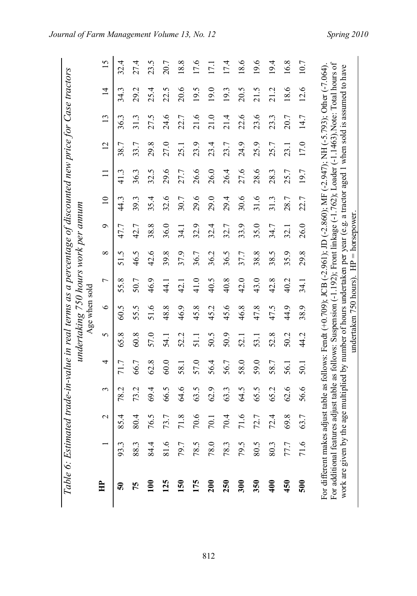|                                                | Table 6: Estimated trade-in-value in real terms as a percentage of discounted new price for Case tractors |               |      |                                                                                                                                                                                                                                  |                   | undertaking 750 hours work per annum |                |                   |      |                 |      |                |      |                |      |
|------------------------------------------------|-----------------------------------------------------------------------------------------------------------|---------------|------|----------------------------------------------------------------------------------------------------------------------------------------------------------------------------------------------------------------------------------|-------------------|--------------------------------------|----------------|-------------------|------|-----------------|------|----------------|------|----------------|------|
|                                                |                                                                                                           |               |      |                                                                                                                                                                                                                                  |                   | Age when sold                        |                |                   |      |                 |      |                |      |                |      |
| 白                                              |                                                                                                           | $\mathcal{L}$ | 3    | 4                                                                                                                                                                                                                                | 5                 | $\bullet$                            | $\overline{ }$ | $\infty$          | Ò    | $\overline{10}$ |      | $\overline{c}$ | 13   | $\overline{1}$ | 15   |
| ິຈິ                                            | 93.3                                                                                                      | 85.4          | 78.2 | 71.7                                                                                                                                                                                                                             | 65.8              | 60.5                                 | 55.8           | 51.5              | 47.7 | 44.3            | 41.3 | 38.7           | 36.3 | 34.3           | 32.4 |
| 75                                             | 88.3                                                                                                      | 80.4          | 73.2 | 66.7                                                                                                                                                                                                                             | 60.8              | 55.5                                 | 50.7           | 46.5              | 42.7 | 39.3            | 36.3 | 33.7           | 31.3 | 29.2           | 27.4 |
| $\mathsf{\Xi}$                                 | 84.4                                                                                                      | 76.5          | 69.4 | 62.8                                                                                                                                                                                                                             | 57.0              | 51.6                                 | 46.9           | 42.6              | 38.8 | 35.4            | 32.5 | 29.8           | 27.5 | 25.4           | 23.5 |
| 125                                            | 81.6                                                                                                      | 73.7          | 66.5 | 60.0                                                                                                                                                                                                                             | 54.1              | 48.8                                 | $\frac{4}{4}$  | 39.8              | 36.0 | 32.6            | 29.6 | 27.0           | 24.6 | 22.5           | 20.7 |
| $\overline{150}$                               | 79.7                                                                                                      | 71.8          | 9.6  | 58.1                                                                                                                                                                                                                             | 52.2              | 46.9                                 | 42.1           | 37.9              | 34.1 | 30.7            | 27.7 | 25.1           | 22.7 | 20.6           | 18.8 |
| 175                                            | 78.5                                                                                                      | 70.6          | 63.5 | 57.0                                                                                                                                                                                                                             | $\overline{5}$ 11 | 45.8                                 | 41.0           | 36.7              | 32.9 | 29.6            | 26.6 | 23.9           | 21.6 | 19.5           | 17.6 |
| $\frac{200}{200}$                              | 78.0                                                                                                      | 70.1          | 62.9 | 56.4                                                                                                                                                                                                                             | 50.5              | 45.2                                 | 40.5           | 36.2              | 32.4 | 29.0            | 26.0 | 23.4           | 21.0 | 19.0           | 17.1 |
| 250                                            | 78.3                                                                                                      | 70.4          | 63.3 | 56.7                                                                                                                                                                                                                             | 50.9              | 45.6                                 | 40.8           | 36.5              | 32.7 | 29.4            | 26.4 | 23.7           | 21.4 | 19.3           | 17.4 |
| 300                                            | 79.5                                                                                                      | 71.6          | 64.5 | 58.0                                                                                                                                                                                                                             | 52.1              | 46.8                                 | 42.0           | 37.7              | 33.9 | 30.6            | 27.6 | 24.9           | 22.6 | 20.5           | 18.6 |
| 350                                            | 80.5                                                                                                      | 72.7          | 65.5 | 59.0                                                                                                                                                                                                                             | 53.1              | 47.8                                 | 43.0           | 38.8              | 35.0 | 31.6            | 28.6 | 25.9           | 23.6 | 21.5           | 19.6 |
| $\frac{1}{2}$                                  | 80.3                                                                                                      | 72.4          | 65.2 | 58.7                                                                                                                                                                                                                             | 52.8              | 47.5                                 | 42.8           | 38.5              | 34.7 | 31.3            | 28.3 | 25.7           | 23.3 | 21.2           | 19.4 |
| 450                                            | 77.7                                                                                                      | 69.8          | 62.6 | 56.1                                                                                                                                                                                                                             | 50.2              | 44.9                                 | 40.2           | 35.9              | 32.1 | 28.7            | 25.7 | 23.1           | 20.7 | 18.6           | 16.8 |
| 500                                            | 71.6                                                                                                      | 63.7          | 56.6 | 50.1                                                                                                                                                                                                                             | 44.2              | 38.9                                 | 34.1           | 29.8              | 26.0 | 22.7            | 197  | 17.0           | 14.7 | 12.6           | 10.7 |
| For different makes a<br>For additional featur |                                                                                                           |               |      | es adjust table as follows: Suspension (-1.192); Front linkage (-1.762); Loader (-1.1463). Note: Total hours of<br>adjust table as follows: Fendt (+0.709); JCB (-2.961); JD (-2.860); MF (-2.947); NH (-5.793); Other (-7.064). |                   |                                      |                |                   |      |                 |      |                |      |                |      |
| work are given by th                           |                                                                                                           |               |      | e age multiplied by number of hours undertaken per year (e.g. a tractor aged 1 when sold is assumed to have                                                                                                                      |                   | undertaken 750 hours).               |                | $HP = horsepower$ |      |                 |      |                |      |                |      |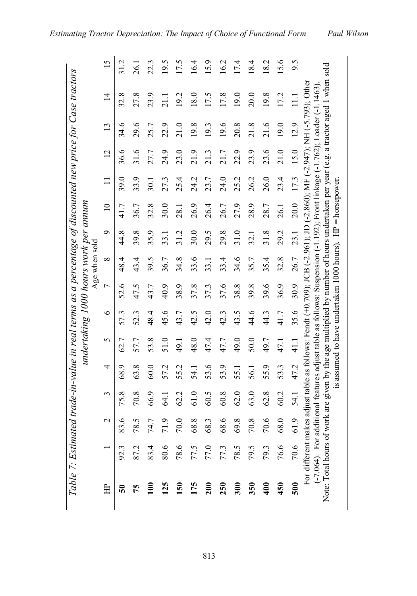| $\overline{a}$   |  |
|------------------|--|
|                  |  |
|                  |  |
|                  |  |
| $\binom{2}{2}$   |  |
|                  |  |
|                  |  |
|                  |  |
| I                |  |
|                  |  |
|                  |  |
|                  |  |
|                  |  |
|                  |  |
|                  |  |
|                  |  |
|                  |  |
|                  |  |
|                  |  |
|                  |  |
| I<br>i           |  |
|                  |  |
|                  |  |
|                  |  |
|                  |  |
| .<br>.<br>.<br>. |  |
|                  |  |
|                  |  |
|                  |  |
|                  |  |
|                  |  |
|                  |  |
|                  |  |
|                  |  |
|                  |  |
|                  |  |
| l                |  |
|                  |  |
|                  |  |
| I<br>l           |  |

|                                                                                                                                   |                              |                            |             |                                                              |      |         |                | Age when sold | undertaking 1000 hours work per annum |                 |      |                |                 |                                                                                                                                                                                                                                                     |      |
|-----------------------------------------------------------------------------------------------------------------------------------|------------------------------|----------------------------|-------------|--------------------------------------------------------------|------|---------|----------------|---------------|---------------------------------------|-----------------|------|----------------|-----------------|-----------------------------------------------------------------------------------------------------------------------------------------------------------------------------------------------------------------------------------------------------|------|
| $\overline{H}$                                                                                                                    |                              | $\mathcal{L}$              | 3           | 4                                                            | 5    | $\circ$ | $\overline{ }$ | $\infty$      | ó                                     | $\overline{10}$ |      | $\overline{2}$ | $\overline{13}$ | $\overline{4}$                                                                                                                                                                                                                                      | 15   |
| $50^{\circ}$                                                                                                                      | 92.3                         | $\tilde{\mathbf{e}}$<br>83 | 75.8        | 68.9                                                         | 62.7 | 57.3    | 52.6           | 48.4          | 44.8                                  | 41.7            | 39.0 | 36.6           | 34.6            | ∞<br>32.                                                                                                                                                                                                                                            |      |
| 75                                                                                                                                | 87.2                         | 78.5                       | 70.8        | 63.8                                                         | 57.7 | 52.3    | 47.5           | 43.4          | 39.8                                  | 36.7            | 33.9 | 31.6           | 29.6            | 27.8                                                                                                                                                                                                                                                | 26.1 |
| 100                                                                                                                               | 83.4                         | 74.7                       | 66.9        | 60.0                                                         | 53.8 | 48.4    | 43.7           | 39.5          | 35.9                                  | 32.8            | 30.1 | 27.7           | 25.7            | 23.9                                                                                                                                                                                                                                                | 22.3 |
| 125                                                                                                                               | $80.6$                       | 71.9                       | <b>64.1</b> | 57.2                                                         | 51.0 | 45.6    | 40.9           | 36.7          | 33.1                                  | 30.0            | 27.3 | 24.9           | 22.9            | 21.1                                                                                                                                                                                                                                                | 19.5 |
|                                                                                                                                   | $78.6\,$                     | 70.0                       | 62.2        | 55.2                                                         | 49.1 | 43.7    | 38.9           | 34.8          | 31.2                                  | 28.1            | 25.4 | 23.0           | 21.0            | 19.2                                                                                                                                                                                                                                                | 17.5 |
| 150<br>175<br>200                                                                                                                 |                              | 68.8                       | 61.0        | 54.1                                                         | 48.0 | 42.5    | 37.8           | 33.6          | 30.0                                  | 26.9            | 24.2 | 21.9           | 19.8            | 18.0                                                                                                                                                                                                                                                | 16.4 |
|                                                                                                                                   |                              | 68.3                       | 60.5        | 53.6                                                         | 47.4 | 42.0    | 37.3           | 33.1          | 29.5                                  | 26.4            | 23.7 | 21.3           | 19.3            | 17.5                                                                                                                                                                                                                                                | 15.9 |
| 250<br>300<br>350                                                                                                                 | 77.5<br>77.0<br>78.5<br>78.5 | 68.6                       | 60.8        | 53.9                                                         | 47.7 | 42.3    | 37.6           | 33.4          | 29.8                                  | 26.7            | 24.0 | 21.7           | 19.6            | 17.8                                                                                                                                                                                                                                                | 16.2 |
|                                                                                                                                   |                              | 69.8                       | 62.0        | 55.1                                                         | 49.0 | 43.5    | 38.8           | 34.6          | 31.0                                  | 27.9            | 25.2 | 22.9           | 20.8            | 19.0                                                                                                                                                                                                                                                | 17.4 |
|                                                                                                                                   |                              | $70.8\,$                   | 63.0        | 56.1                                                         | 50.0 | 44.6    | 39.8           | 35.7          | 32.1                                  | 28.9            | 26.2 | 23.9           | 21.8            | 20.0                                                                                                                                                                                                                                                | 18.4 |
| 400                                                                                                                               | 79.3                         | 70.6                       | 62.8        | 55.9                                                         | 49.7 | 44.3    | 39.6           | 35.4          | 31.8                                  | 28.7            | 26.0 | 23.6           | 21.6            | 19.8                                                                                                                                                                                                                                                | 18.2 |
| 450                                                                                                                               | 76.6                         | 68.0                       | 60.2        | 53.3                                                         | 47.1 | 41.7    | 36.9           | 32.8          | 29.2                                  | 26.1            | 23.4 | 21.0           | 19.0            | 17.2                                                                                                                                                                                                                                                | 15.6 |
| 500                                                                                                                               | 70.6                         | 61.9                       | 54.1        | 47.2                                                         | 41.1 | 35.6    | 30.9           | 26.7          | 23.1                                  | 20.0            | 17.3 | 15.0           | 12.9            |                                                                                                                                                                                                                                                     | 9.5  |
|                                                                                                                                   |                              |                            |             |                                                              |      |         |                |               |                                       |                 |      |                |                 | For different makes adjust table as follows: Fendt (+0.709); JCB (-2.961); JD (-2.860); MF (-2.947); NH (-5.793); Other<br>(-7.064). For additional features adjust table as follows: Suspension (-1.192); Front linkage (-1.762); Loader (-1.1463) |      |
| Note: Total hours of work are given by the age multiplied by number of hours undertaken per year (e.g. a tractor aged 1 when sold |                              |                            |             |                                                              |      |         |                |               |                                       |                 |      |                |                 |                                                                                                                                                                                                                                                     |      |
|                                                                                                                                   |                              |                            |             | is assumed to have undertaken 1000 hours). $HP =$ horsepower |      |         |                |               |                                       |                 |      |                |                 |                                                                                                                                                                                                                                                     |      |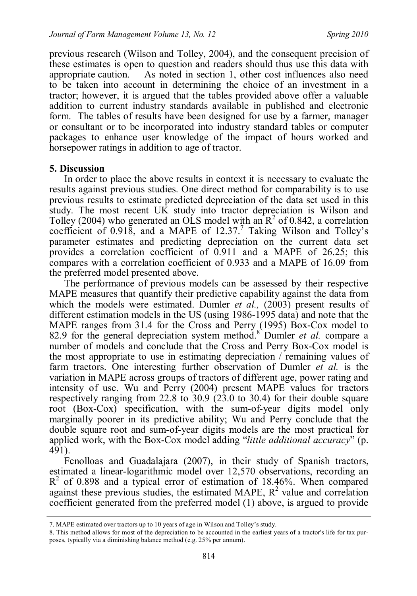previous research (Wilson and Tolley, 2004), and the consequent precision of these estimates is open to question and readers should thus use this data with appropriate caution. As noted in section 1, other cost influences also need to be taken into account in determining the choice of an investment in a tractor; however, it is argued that the tables provided above offer a valuable addition to current industry standards available in published and electronic form. The tables of results have been designed for use by a farmer, manager or consultant or to be incorporated into industry standard tables or computer packages to enhance user knowledge of the impact of hours worked and horsepower ratings in addition to age of tractor.

#### **5. Discussion**

In order to place the above results in context it is necessary to evaluate the results against previous studies. One direct method for comparability is to use previous results to estimate predicted depreciation of the data set used in this study. The most recent UK study into tractor depreciation is Wilson and Tolley (2004) who generated an OLS model with an  $\mathbb{R}^2$  of 0.842, a correlation coefficient of  $0.918$ , and a MAPE of  $12.37$ .<sup>7</sup> Taking Wilson and Tolley's parameter estimates and predicting depreciation on the current data set provides a correlation coefficient of 0.911 and a MAPE of 26.25; this compares with a correlation coefficient of 0.933 and a MAPE of 16.09 from the preferred model presented above.

The performance of previous models can be assessed by their respective MAPE measures that quantify their predictive capability against the data from which the models were estimated. Dumler *et al.*, (2003) present results of different estimation models in the US (using 1986-1995 data) and note that the MAPE ranges from 31.4 for the Cross and Perry (1995) Box-Cox model to 82.9 for the general depreciation system method.<sup>8</sup> Dumler *et al.* compare a number of models and conclude that the Cross and Perry Box-Cox model is the most appropriate to use in estimating depreciation / remaining values of farm tractors. One interesting further observation of Dumler *et al.* is the variation in MAPE across groups of tractors of different age, power rating and intensity of use. Wu and Perry (2004) present MAPE values for tractors respectively ranging from 22.8 to 30.9 (23.0 to 30.4) for their double square root (Box-Cox) specification, with the sum-of-year digits model only marginally poorer in its predictive ability; Wu and Perry conclude that the double square root and sum-of-year digits models are the most practical for applied work, with the Box-Cox model adding "*little additional accuracy*" (p. 491).

Fenolloas and Guadalajara (2007), in their study of Spanish tractors, estimated a linear-logarithmic model over 12,570 observations, recording an  $R<sup>2</sup>$  of 0.898 and a typical error of estimation of 18.46%. When compared against these previous studies, the estimated MAPE,  $R^2$  value and correlation coefficient generated from the preferred model (1) above, is argued to provide

<sup>7.</sup> MAPE estimated over tractors up to 10 years of age in Wilson and Tolley's study.

<sup>8.</sup> This method allows for most of the depreciation to be accounted in the earliest years of a tractor's life for tax purposes, typically via a diminishing balance method (e.g. 25% per annum).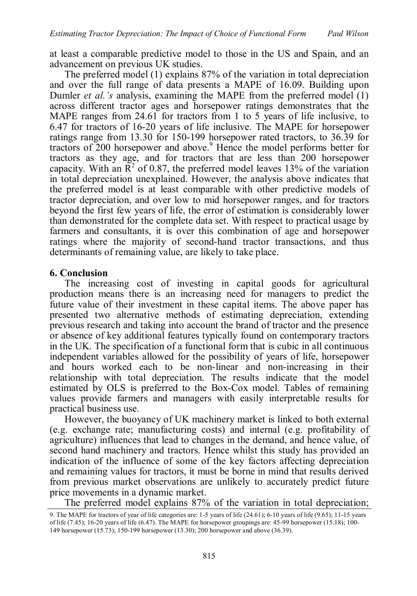at least a comparable predictive model to those in the US and Spain, and an advancement on previous UK studies.

The preferred model (1) explains 87% of the variation in total depreciation and over the full range of data presents a MAPE of 16.09. Building upon Dumler *et al.'s* analysis, examining the MAPE from the preferred model (1) across different tractor ages and horsepower ratings demonstrates that the MAPE ranges from 24.61 for tractors from 1 to 5 years of life inclusive, to 6.47 for tractors of 16-20 years of life inclusive. The MAPE for horsepower ratings range from 13.30 for 150-199 horsepower rated tractors, to 36.39 for tractors of 200 horsepower and above.<sup>9</sup> Hence the model performs better for tractors as they age, and for tractors that are less than 200 horsepower capacity. With an  $\mathbb{R}^2$  of 0.87, the preferred model leaves 13% of the variation in total depreciation unexplained. However, the analysis above indicates that the preferred model is at least comparable with other predictive models of tractor depreciation, and over low to mid horsepower ranges, and for tractors beyond the first few years of life, the error of estimation is considerably lower than demonstrated for the complete data set. With respect to practical usage by farmers and consultants, it is over this combination of age and horsepower ratings where the majority of second-hand tractor transactions, and thus determinants of remaining value, are likely to take place.

### **6. Conclusion**

The increasing cost of investing in capital goods for agricultural production means there is an increasing need for managers to predict the future value of their investment in these capital items. The above paper has presented two alternative methods of estimating depreciation, extending previous research and taking into account the brand of tractor and the presence or absence of key additional features typically found on contemporary tractors in the UK. The specification of a functional form that is cubic in all continuous independent variables allowed for the possibility of years of life, horsepower and hours worked each to be non-linear and non-increasing in their relationship with total depreciation. The results indicate that the model estimated by OLS is preferred to the Box-Cox model. Tables of remaining values provide farmers and managers with easily interpretable results for practical business use.

However, the buoyancy of UK machinery market is linked to both external (e.g. exchange rate; manufacturing costs) and internal (e.g. profitability of agriculture) influences that lead to changes in the demand, and hence value, of second hand machinery and tractors. Hence whilst this study has provided an indication of the influence of some of the key factors affecting depreciation and remaining values for tractors, it must be borne in mind that results derived from previous market observations are unlikely to accurately predict future price movements in a dynamic market.

The preferred model explains 87% of the variation in total depreciation;

<sup>9.</sup> The MAPE for tractors of year of life categories are: 1-5 years of life (24.61); 6-10 years of life (9.65); 11-15 years of life (7.45); 16-20 years of life (6.47). The MAPE for horsepower groupings are: 45-99 horsepower (15.18); 100- 149 horsepower (15.73); 150-199 horsepower (13.30); 200 horsepower and above (36.39).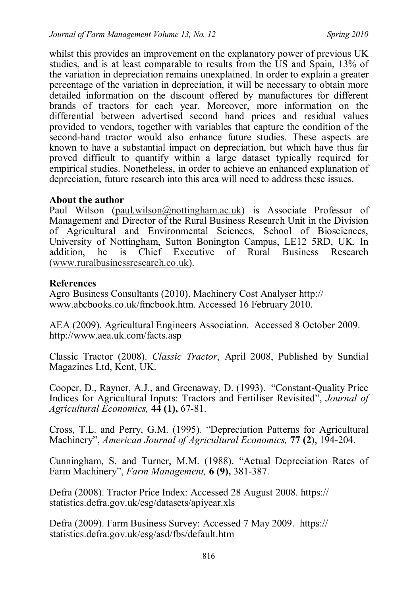whilst this provides an improvement on the explanatory power of previous UK studies, and is at least comparable to results from the US and Spain, 13% of the variation in depreciation remains unexplained. In order to explain a greater percentage of the variation in depreciation, it will be necessary to obtain more detailed information on the discount offered by manufactures for different brands of tractors for each year. Moreover, more information on the differential between advertised second hand prices and residual values provided to vendors, together with variables that capture the condition of the second-hand tractor would also enhance future studies. These aspects are known to have a substantial impact on depreciation, but which have thus far proved difficult to quantify within a large dataset typically required for empirical studies. Nonetheless, in order to achieve an enhanced explanation of depreciation, future research into this area will need to address these issues.

#### **About the author**

Paul Wilson (paul.wilson@nottingham.ac.uk) is Associate Professor of Management and Director of the Rural Business Research Unit in the Division of Agricultural and Environmental Sciences, School of Biosciences, University of Nottingham, Sutton Bonington Campus, LE12 5RD, UK. In addition, he is Chief Executive of Rural Business Research (www.ruralbusinessresearch.co.uk).

### **References**

Agro Business Consultants (2010). Machinery Cost Analyser http:// www.abcbooks.co.uk/fmcbook.htm. Accessed 16 February 2010.

AEA (2009). Agricultural Engineers Association. Accessed 8 October 2009. http://www.aea.uk.com/facts.asp

Classic Tractor (2008). *Classic Tractor*, April 2008, Published by Sundial Magazines Ltd, Kent, UK.

Cooper, D., Rayner, A.J., and Greenaway, D. (1993). "Constant-Quality Price Indices for Agricultural Inputs: Tractors and Fertiliser Revisited", *Journal of Agricultural Economics,* **44 (1),** 67-81.

Cross, T.L. and Perry, G.M. (1995). "Depreciation Patterns for Agricultural Machinery", *American Journal of Agricultural Economics,* **77 (2**), 194-204.

Cunningham, S. and Turner, M.M. (1988). "Actual Depreciation Rates of Farm Machinery", *Farm Management,* **6 (9),** 381-387.

Defra (2008). Tractor Price Index: Accessed 28 August 2008. https:// statistics.defra.gov.uk/esg/datasets/apiyear.xls

Defra (2009). Farm Business Survey: Accessed 7 May 2009. https:// statistics.defra.gov.uk/esg/asd/fbs/default.htm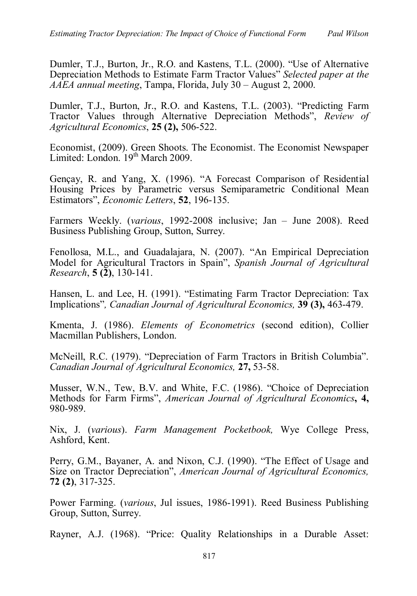Dumler, T.J., Burton, Jr., R.O. and Kastens, T.L. (2000). "Use of Alternative Depreciation Methods to Estimate Farm Tractor Values" *Selected paper at the AAEA annual meeting*, Tampa, Florida, July 30 – August 2, 2000.

Dumler, T.J., Burton, Jr., R.O. and Kastens, T.L. (2003). "Predicting Farm Tractor Values through Alternative Depreciation Methods", *Review of Agricultural Economics*, **25 (2),** 506-522.

Economist, (2009). Green Shoots. The Economist. The Economist Newspaper Limited: London.  $19<sup>th</sup> March 2009$ .

Gençay, R. and Yang, X. (1996). "A Forecast Comparison of Residential Housing Prices by Parametric versus Semiparametric Conditional Mean Estimators", *Economic Letters*, **52**, 196-135.

Farmers Weekly. (*various*, 1992-2008 inclusive; Jan – June 2008). Reed Business Publishing Group, Sutton, Surrey.

Fenollosa, M.L., and Guadalajara, N. (2007). "An Empirical Depreciation Model for Agricultural Tractors in Spain", *Spanish Journal of Agricultural Research*, **5 (2)**, 130-141.

Hansen, L. and Lee, H. (1991). "Estimating Farm Tractor Depreciation: Tax Implications"*, Canadian Journal of Agricultural Economics,* **39 (3),** 463-479.

Kmenta, J. (1986). *Elements of Econometrics* (second edition), Collier Macmillan Publishers, London.

McNeill, R.C. (1979). "Depreciation of Farm Tractors in British Columbia". *Canadian Journal of Agricultural Economics,* **27,** 53-58.

Musser, W.N., Tew, B.V. and White, F.C. (1986). "Choice of Depreciation Methods for Farm Firms", *American Journal of Agricultural Economics***, 4,** 980-989.

Nix, J. (*various*). *Farm Management Pocketbook,* Wye College Press, Ashford, Kent.

Perry, G.M., Bayaner, A. and Nixon, C.J. (1990). "The Effect of Usage and Size on Tractor Depreciation", *American Journal of Agricultural Economics,* **72 (2)**, 317-325.

Power Farming. (*various*, Jul issues, 1986-1991). Reed Business Publishing Group, Sutton, Surrey.

Rayner, A.J. (1968). "Price: Quality Relationships in a Durable Asset: